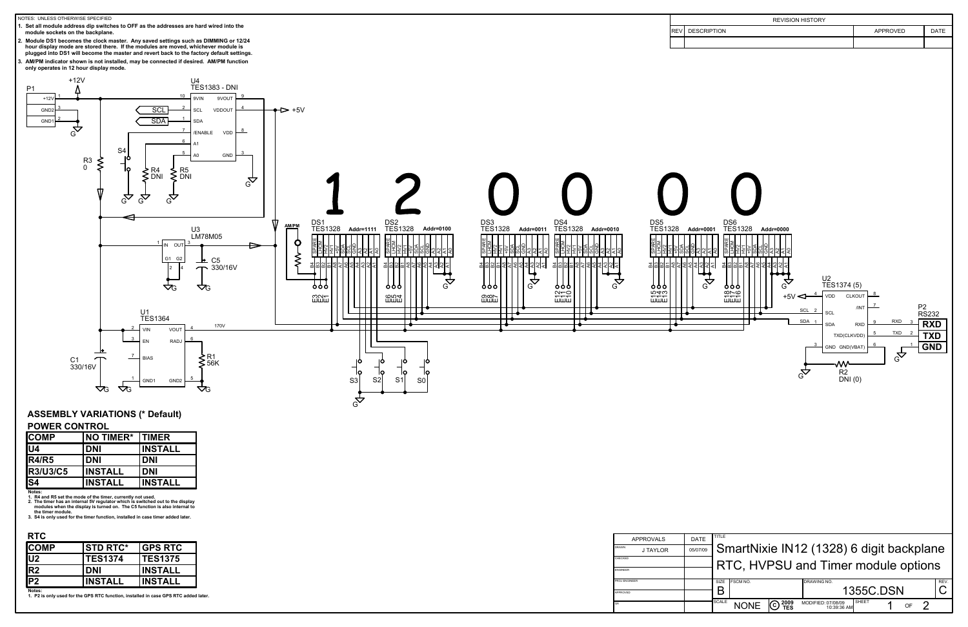

| ICOMP           | <b>NO TIMER*</b> | <b>TIMER</b>   |
|-----------------|------------------|----------------|
| U4              | <b>DNI</b>       | <b>INSTALL</b> |
| <b>IR4/R5</b>   | <b>DNI</b>       | <b>DNI</b>     |
| <b>R3/U3/C5</b> | <b>INSTALL</b>   | <b>DNI</b>     |
| S4              | <b>INSTALL</b>   | <b>INSTALL</b> |

| <b>COMP</b>    | <b>STD RTC*</b> | <b>IGPS RTC</b> |
|----------------|-----------------|-----------------|
| J2             | <b>TES1374</b>  | <b>ITES1375</b> |
| R <sub>2</sub> | <b>DNI</b>      | <b>INSTALL</b>  |
| P <sub>2</sub> | <b>INSTALL</b>  | INSTALL         |
| Naton:         |                 |                 |

| <b>APPROVALS</b> |                 | DATE     |
|------------------|-----------------|----------|
| <b>DRAWN</b>     | <b>J TAYLOR</b> | 05/07/09 |
| CHECKED          |                 |          |
| <b>ENGINEER</b>  |                 |          |
| PROJ ENGINEER    |                 |          |
| APPROVED         |                 |          |
| QA               |                 |          |